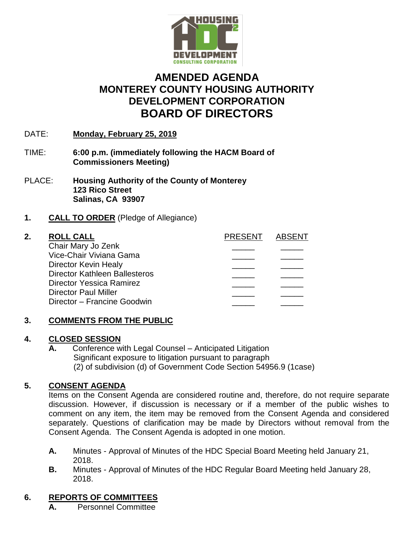

# **AMENDED AGENDA MONTEREY COUNTY HOUSING AUTHORITY DEVELOPMENT CORPORATION BOARD OF DIRECTORS**

- DATE: **Monday, February 25, 2019**
- TIME: **6:00 p.m. (immediately following the HACM Board of Commissioners Meeting)**
- PLACE: **Housing Authority of the County of Monterey 123 Rico Street Salinas, CA 93907**
- **1. CALL TO ORDER** (Pledge of Allegiance)

| 2. | <b>ROLL CALL</b>                     | <b>PRESENT</b> | ABSENT |
|----|--------------------------------------|----------------|--------|
|    | Chair Mary Jo Zenk                   |                |        |
|    | Vice-Chair Viviana Gama              |                |        |
|    | Director Kevin Healy                 |                |        |
|    | <b>Director Kathleen Ballesteros</b> |                |        |
|    | <b>Director Yessica Ramirez</b>      |                |        |
|    | <b>Director Paul Miller</b>          |                |        |
|    | Director - Francine Goodwin          |                |        |
|    |                                      |                |        |

# **3. COMMENTS FROM THE PUBLIC**

## **4. CLOSED SESSION**

 **A.** Conference with Legal Counsel – Anticipated Litigation Significant exposure to litigation pursuant to paragraph (2) of subdivision (d) of Government Code Section 54956.9 (1case)

# **5. CONSENT AGENDA**

Items on the Consent Agenda are considered routine and, therefore, do not require separate discussion. However, if discussion is necessary or if a member of the public wishes to comment on any item, the item may be removed from the Consent Agenda and considered separately. Questions of clarification may be made by Directors without removal from the Consent Agenda. The Consent Agenda is adopted in one motion.

- **A.** Minutes Approval of Minutes of the HDC Special Board Meeting held January 21, 2018.
- **B.** Minutes Approval of Minutes of the HDC Regular Board Meeting held January 28, 2018.

# **6. REPORTS OF COMMITTEES**

**A.** Personnel Committee